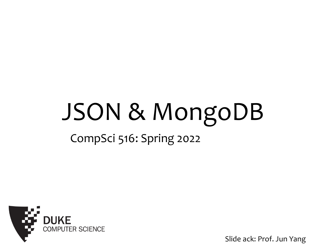# JSON & MongoDB

#### CompSci 516: Spring 2022



Slide ack: Prof. Jun Yang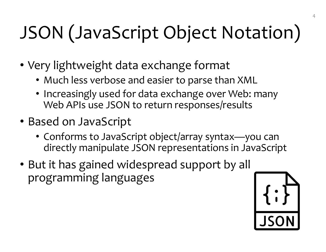## JSON (JavaScript Object Notation)

- Very lightweight data exchange format
	- Much less verbose and easier to parse than XML
	- Increasingly used for data exchange over Web: many Web APIs use JSON to return responses/results
- Based on JavaScript
	- Conforms to JavaScript object/array syntax—you can directly manipulate JSON representations in JavaScript
- But it has gained widespread support by all programming languages

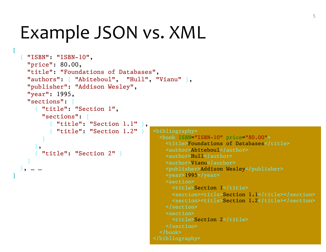#### Example JSON vs. XML

[

]

```
<bibliography>
                                           <book ISBN="ISBN-10" price="80.00">
                                             <title>Foundations of Databases</title>
                                             <author>Abiteboul</author>
                                             <author>Hull</author>
                                             <author>Vianu</author>
                                             <publisher>Addison Wesley</publisher>
                                            <year>1995</year>
                                            <section>
                                              <title>Section 1</title>
                                              <section><title>Section 1.1</title></section>
                                              <section><title>Section 1.2</title></section>
                                            </section>
                                             <section>
                                              <title>Section 2</title>
                                             </section>
                                           </book>
                                         </bibliography>
{ "ISBN": "ISBN-10",
  "price": 80.00,
  "title": "Foundations of Databases",
  "authors": [ "Abiteboul"
, "Hull", 
"Vianu" ],
  "publisher": "Addison Wesley",
  "year": 1995,
  "sections": [
    { "title": "Section 1",
      "sections": [
        { "title": "Section 1.1" },
         { "title": "Section 1.2" }
      ]
    },
    { "title": "Section 2" }
  ]
 \bullet, … …
```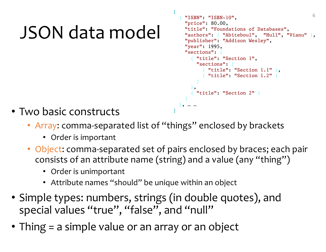### JSON data model

```
6 [
{ "ISBN": "ISBN-10",
   "price": 80.00,
   "title": "Foundations of Databases",
   "authors": [ "Abiteboul", "Hull", "Vianu" ],
   "publisher": "Addison Wesley",
   "year": 1995,
   "sections": [
     { "title": "Section 1",
       "sections": [
          \{ "title": "Section 1.1" \},{ "title": "Section 1.2" }
       ]
     },
       { "title": "Section 2" }
   ]
  }, … …
```
- Two basic constructs
	- Array: comma-separated list of "things" enclosed by brackets
		- Order is important
	- Object: comma-separated set of pairs enclosed by braces; each pair consists of an attribute name (string) and a value (any "thing")

]

- Order is unimportant
- Attribute names "should" be unique within an object
- Simple types: numbers, strings (in double quotes), and special values "true", "false", and "null"
- Thing = a simple value or an array or an object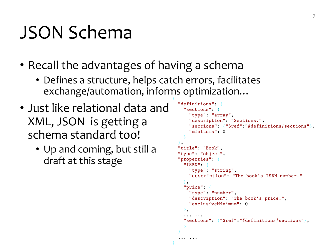#### JSON Schema

- Recall the advantages of having a schema
	- Defines a structure, helps catch errors, facilitates exchange/automation, informs optimization… {

}

- Just like relational data and XML, JSON is getting a schema standard too!
	- Up and coming, but still a draft at this stage

```
"definitions": {
  "sections": {
    "type": "array",
    "description": "Sections.",
    "sections": {"$ref":"#definitions/sections"},
    "minItems": 0
  }
},
"title": "Book",
"type": "object",
"properties": {
  "ISBN": {
    "type": "string",
    "description": "The book's ISBN number."
  },
  "price": {
    "type": "number",
    "description": "The book's price.",
    "exclusiveMinimum": 0
  },
  ... ...
  "sections": {"$ref":"#definitions/sections"},
  }
}
... ...
```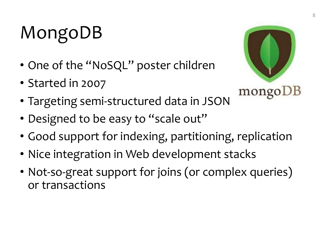### MongoDB

- One of the "NoSQL" poster children
- Started in 2007



- Targeting semi-structured data in JSON
- Designed to be easy to "scale out"
- Good support for indexing, partitioning, replication
- Nice integration in Web development stacks
- Not-so-great support for joins (or complex queries) or transactions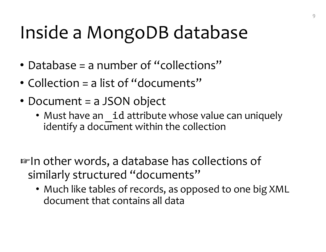### Inside a MongoDB database

- Database = a number of "collections"
- Collection = a list of "documents"
- Document = a JSON object
	- Must have an id attribute whose value can uniquely identify a document within the collection

☞In other words, a database has collections of similarly structured "documents"

• Much like tables of records, as opposed to one big XML document that contains all data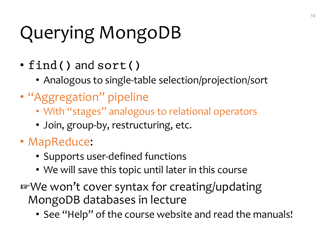## Querying MongoDB

- find() and sort()
	- Analogous to single-table selection/projection/sort
- "Aggregation" pipeline
	- With "stages" analogous to relational operators
	- Join, group-by, restructuring, etc.
- MapReduce:
	- Supports user-defined functions
	- We will save this topic until later in this course
- ☞We won't cover syntax for creating/updating MongoDB databases in lecture
	- See "Help" of the course website and read the manuals!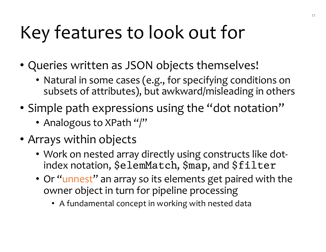### Key features to look out for

- Queries written as JSON objects themselves!
	- Natural in some cases (e.g., for specifying conditions on subsets of attributes), but awkward/misleading in others
- Simple path expressions using the "dot notation"
	- Analogous to XPath "/"
- Arrays within objects
	- Work on nested array directly using constructs like dotindex notation, \$elemMatch, \$map, and \$filter
	- Or "unnest" an array so its elements get paired with the owner object in turn for pipeline processing
		- A fundamental concept in working with nested data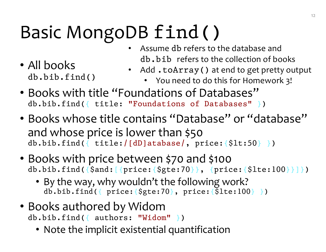### Basic MongoDB find()

• Assume db refers to the database and db.bib refers to the collection of books

• All books db.bib.find()

- Add .toArray() at end to get pretty output
	- You need to do this for Homework 3!
- Books with title "Foundations of Databases" db.bib.find({ title: "Foundations of Databases" })
- Books whose title contains "Database" or "database" and whose price is lower than \$50 db.bib.find({ title:/[dD]atabase/, price:{\$lt:50} })
- Books with price between \$70 and \$100 db.bib.find({\$and:[{price:{\$gte:70}}, {price:{\$lte:100}}]})
	- By the way, why wouldn't the following work?  $db.bib.find({\text{price:}}\{\$te:70\},\text{price:}\{\$1te:100\}\})$
- Books authored by Widom db.bib.find({ authors: "Widom" })
	- Note the implicit existential quantification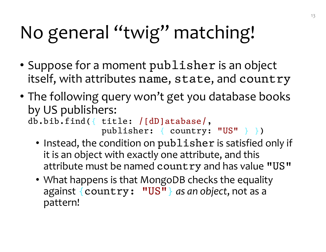## No general "twig" matching!

- Suppose for a moment publisher is an object itself, with attributes name, state, and country
- The following query won't get you database books by US publishers:

db.bib.find({ title: /[dD]atabase/, publisher: { country: "US" } })

- Instead, the condition on publisher is satisfied only if it is an object with exactly one attribute, and this attribute must be named country and has value "US"
- What happens is that MongoDB checks the equality against {country: "US"} *as an object*, not as a pattern!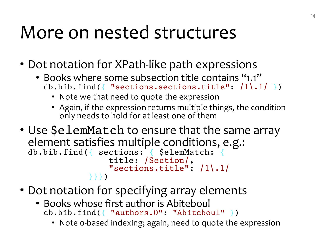#### More on nested structures

- Dot notation for XPath-like path expressions
	- Books where some subsection title contains "1.1" db.bib.find({ "sections.sections.title":  $/1\backslash.1/$  })
		- Note we that need to quote the expression
		- Again, if the expression returns multiple things, the condition only needs to hold for at least one of them
- Use \$elemMatch to ensure that the same array element satisfies multiple conditions, e.g.: db.bib.find({ sections: { \$elemMatch: { title: /Section/, "sections.title": /1\.1/ }}})
- Dot notation for specifying array elements
	- Books whose first author is Abiteboul db.bib.find({ "authors.0": "Abiteboul" })
		- Note 0-based indexing; again, need to quote the expression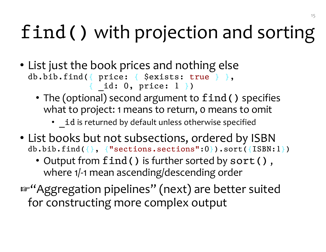## find() with projection and sorting

- List just the book prices and nothing else db.bib.find({ price: { \$exists: true } }, { \_id: 0, price: 1 })
	- The (optional) second argument to  $find()$  specifies what to project: 1 means to return, 0 means to omit
		- id is returned by default unless otherwise specified
- List books but not subsections, ordered by ISBN db.bib.find({}, {"sections.sections":0}).sort({ISBN:1})
	- Output from find() is further sorted by sort(), where 1/-1 mean ascending/descending order
- ☞"Aggregation pipelines" (next) are better suited for constructing more complex output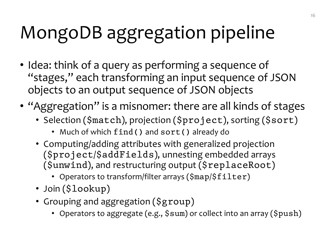### MongoDB aggregation pipeline

- Idea: think of a query as performing a sequence of "stages," each transforming an input sequence of JSON objects to an output sequence of JSON objects
- "Aggregation" is a misnomer: there are all kinds of stages
	- Selection (\$match), projection (\$project), sorting (\$sort)
		- Much of which find() and sort() already do
	- Computing/adding attributes with generalized projection (\$project/\$addFields), unnesting embedded arrays (\$unwind), and restructuring output (\$replaceRoot)
		- Operators to transform/filter arrays (\$map/\$filter)
	- Join (\$lookup)
	- Grouping and aggregation (\$group)
		- Operators to aggregate (e.g., \$sum) or collect into an array (\$push)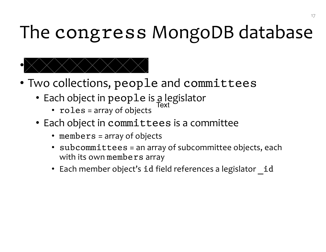### The congress MongoDB database



- Two collections, people and committees
	- Each object in people is a legislator Text
		- roles = array of objects
	- Each object in committees is a committee
		- members = array of objects
		- subcommittees = an array of subcommittee objects, each with its own members array
		- Each member object's id field references a legislator id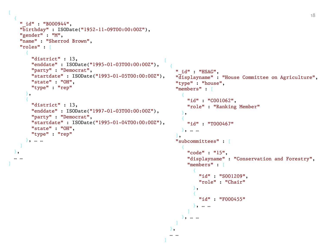```
\frac{1}{4} and \frac{1}{8} and \frac{1}{8} and \frac{1}{8} and \frac{1}{8} and \frac{1}{8} and \frac{1}{8} and \frac{1}{8} and \frac{1}{8} and \frac{1}{8} and \frac{1}{8} and \frac{1}{8} and \frac{1}{8} and \frac{1}{8} and \frac{1}{8} and \frac{1}{8} a
  {
    "_id" : "B000944",
    "birthday" : ISODate("1952-11-09T00:00:00Z"),
    "gender" : "M",
    "name" : "Sherrod Brown",
    "roles" : [
       {
         "district" : 13,
         "enddate" : ISODate("1995-01-03T00:00:00Z"),
         "party" : "Democrat",
         "startdate" : ISODate("1993-01-05T00:00:00Z"),
         "state" : "OH",
         "type" : "rep"
       },
       {
         "district" : 13,
         "enddate" : ISODate("1997-01-03T00:00:00Z"),
         "party" : "Democrat",
         "startdate" : ISODate("1995-01-04T00:00:00Z"),
         "state" : "OH",
         "type" : "rep"
       }, … …
    ]
  },
  … …
                                                                 \lbrack{
                                                                      "_id" : "HSAG",
                                                                      "displayname" : "House Committee on Agriculture",
                                                                      "type" : "house",
                                                                      "members" : [
                                                                        {
                                                                          "id" : "C001062",
                                                                          "role" : "Ranking Member"
                                                                        },
                                                                        {
                                                                          "id" : "T000467"
                                                                        }, … …
                                                                      ],
                                                                      "subcommittees" : [
                                                                        {
                                                                          "code" : "15",
                                                                          "displayname" : "Conservation and Forestry",
                                                                          "members" : [
                                                                             {
                                                                               "id" : "S001209",
                                                                               "role" : "Chair"
                                                                             },
                                                                             {
                                                                               "id" : "F000455"
                                                                             }, … …
                                                                           ]
                                                                         }, … …
                                                                      ]
                                                                   },
                                                                   …]
```
]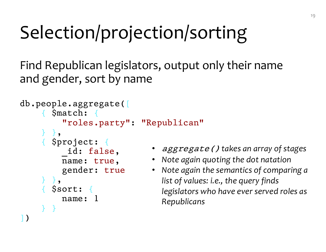### Selection/projection/sorting

Find Republican legislators, output only their name and gender, sort by name

```
db.people.aggregate([
    { $match: {
        "roles.party": "Republican"
    },
    { $project: {
         _id: false,
        name: true,
        gender: true
    } },
      { $sort: {
        name: 1
    } }
])
```
- aggregate() *takes an array of stages*
- *Note again quoting the dot natation*
- *Note again the semantics of comparing a list of values: i.e., the query finds legislators who have ever served roles as Republicans*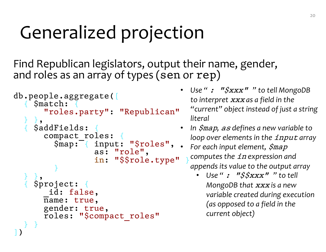### Generalized projection

Find Republican legislators, output their name, gender, and roles as an array of types (sen or rep)

```
db.people.aggregate([
    { $match: {
      "roles.party": "Republican"
  } },
    { $addFields: {
      compact roles:
         $map: { input: "$roles",
                  as: "role",
                  in: "$$role.type"
         }
  } },
    { $project: {
       id: false,
      name: true,
      gender: true,
      roles: "$compact_roles"
  } }
])
```
- *Use "* : "\$xxx" *" to tell MongoDB to interpret* xxx *as a field in the "current" object instead of just a string literal*
- *In* \$map*,* as *defines a new variable to loop over elements in the input array*
- For each input element,  $\zeta$ map *computes the in expression and appends its value to the output array*
	- *Use "* : "\$\$xxx" *" to tell MongoDB that* xxx *is a new variable created during execution (as opposed to a field in the current object)*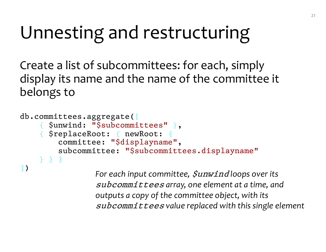#### Unnesting and restructuring

Create a list of subcommittees: for each, simply display its name and the name of the committee it belongs to

```
db.committees.aggregate([
    { $unwind: "$subcommittees" },
    { $replaceRoot: { newRoot: {
        committee: "$displayname"
,
        subcommittee: "$subcommittees.displayname"
    } } }
])
```
*For each input committee,*  $\sin x$  *and loops over its* subcommittees *array, one element at a time, and outputs a copy of the committee object, with its*  subcommittees *value replaced with this single element*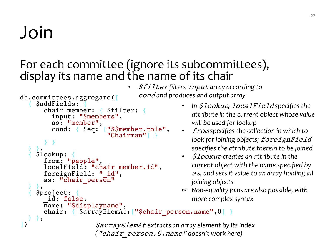### Join

#### For each committee (ignore its subcommittees), display its name and the name of its chair

• \$filter *filters* input *array according to*  cond *and produces and output array*

```
db.committees.aggregate([
    $addFields:chair member: { $filter: {
         input: "$members",
        as: "member",
         cond: { $eq: ["$$member.role"
,
                        "Chairman"] }
      } }
  } },
    { $lookup: {
      from: "people",
      localField: "chair member.id",
      foreignField: "id,
      as: "chair person"
  } },
    { $project: {
       _id: false,
      name: "$displayname"
,
      chair: { $arrayElemAt: ["$chair person.name", 0] }
  } },
])
                     $arrayElemAt extracts an array element by its index 
                     ("chair_person.0.name" doesn't work here)
```
- *In* \$lookup*,* localField *specifies the attribute in the current object whose value will be used for lookup*
- from *specifies the collection in which to look for joining objects;* foreignField *specifies the attribute therein to be joined*
- \$lookup *creates an attribute in the current object with the name specified by*  as*, and sets it value to an array holding all joining objects*
- ☞ *Non-equality joins are also possible, with more complex syntax*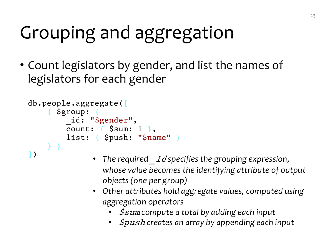### Grouping and aggregation

• Count legislators by gender, and list the names of legislators for each gender

```
db.people.aggregate([
     { $group: {
            id: "$gender",
           \overline{\text{count}}: \{ \text{Ssum: } 1 \},list: { $push: "$name" }
     } }
])
```
- *The required* \_id *specifies the grouping expression, whose value becomes the identifying attribute of output objects (one per group)*
- *Other attributes hold aggregate values, computed using aggregation operators*
	- \$sum *compute a total by adding each input*
	- \$push *creates an array by appending each input*